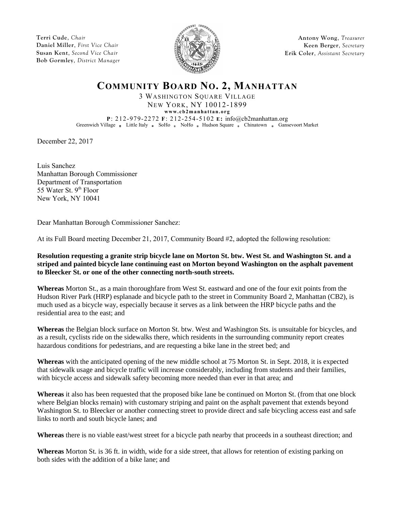**Terri Cude**, *Chair* **Daniel Miller**, *First Vice Chair* **Susan Kent**, *Second Vice Chair* **Bob Gormley**, *District Manager*



**Antony Wong**, *Treasurer* **Keen Berger**, *Secretary* **Erik Coler**, *Assistant Secretary*

## **COMMUNITY BOARD NO. 2, MANHATTAN**

3 WASHINGTON SQUARE VILLAGE NEW YORK, NY 10012-1899

**www.c b2 ma nha t ta n.o rg**

**P**: 212-979-2272 **F**: 212-254-5102 **E:** info@cb2manhattan.org Greenwich Village Buttle Italy BoHo NoHo Hudson Square Ghinatown Gansevoort Market

December 22, 2017

Luis Sanchez Manhattan Borough Commissioner Department of Transportation 55 Water St. 9<sup>th</sup> Floor New York, NY 10041

Dear Manhattan Borough Commissioner Sanchez:

At its Full Board meeting December 21, 2017, Community Board #2, adopted the following resolution:

**Resolution requesting a granite strip bicycle lane on Morton St. btw. West St. and Washington St. and a striped and painted bicycle lane continuing east on Morton beyond Washington on the asphalt pavement to Bleecker St. or one of the other connecting north-south streets.**

**Whereas** Morton St., as a main thoroughfare from West St. eastward and one of the four exit points from the Hudson River Park (HRP) esplanade and bicycle path to the street in Community Board 2, Manhattan (CB2), is much used as a bicycle way, especially because it serves as a link between the HRP bicycle paths and the residential area to the east; and

**Whereas** the Belgian block surface on Morton St. btw. West and Washington Sts. is unsuitable for bicycles, and as a result, cyclists ride on the sidewalks there, which residents in the surrounding community report creates hazardous conditions for pedestrians, and are requesting a bike lane in the street bed; and

**Whereas** with the anticipated opening of the new middle school at 75 Morton St. in Sept. 2018, it is expected that sidewalk usage and bicycle traffic will increase considerably, including from students and their families, with bicycle access and sidewalk safety becoming more needed than ever in that area; and

**Whereas** it also has been requested that the proposed bike lane be continued on Morton St. (from that one block where Belgian blocks remain) with customary striping and paint on the asphalt pavement that extends beyond Washington St. to Bleecker or another connecting street to provide direct and safe bicycling access east and safe links to north and south bicycle lanes; and

**Whereas** there is no viable east/west street for a bicycle path nearby that proceeds in a southeast direction; and

**Whereas** Morton St. is 36 ft. in width, wide for a side street, that allows for retention of existing parking on both sides with the addition of a bike lane; and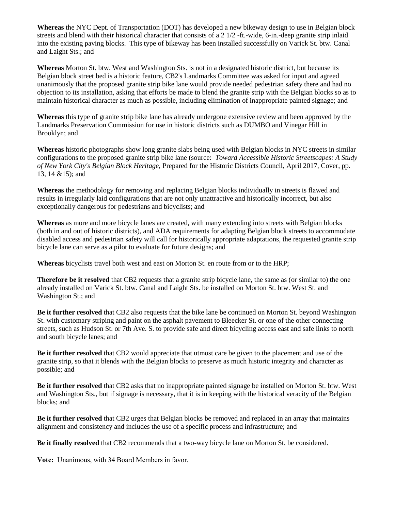**Whereas** the NYC Dept. of Transportation (DOT) has developed a new bikeway design to use in Belgian block streets and blend with their historical character that consists of a 2 1/2 -ft.-wide, 6-in.-deep granite strip inlaid into the existing paving blocks. This type of bikeway has been installed successfully on Varick St. btw. Canal and Laight Sts.; and

**Whereas** Morton St. btw. West and Washington Sts. is not in a designated historic district, but because its Belgian block street bed is a historic feature, CB2's Landmarks Committee was asked for input and agreed unanimously that the proposed granite strip bike lane would provide needed pedestrian safety there and had no objection to its installation, asking that efforts be made to blend the granite strip with the Belgian blocks so as to maintain historical character as much as possible, including elimination of inappropriate painted signage; and

**Whereas** this type of granite strip bike lane has already undergone extensive review and been approved by the Landmarks Preservation Commission for use in historic districts such as DUMBO and Vinegar Hill in Brooklyn; and

**Whereas** historic photographs show long granite slabs being used with Belgian blocks in NYC streets in similar configurations to the proposed granite strip bike lane (source: *Toward Accessible Historic Streetscapes: A Study of New York City's Belgian Block Heritage,* Prepared for the Historic Districts Council, April 2017, Cover, pp. 13, 14 &15); and

**Whereas** the methodology for removing and replacing Belgian blocks individually in streets is flawed and results in irregularly laid configurations that are not only unattractive and historically incorrect, but also exceptionally dangerous for pedestrians and bicyclists; and

**Whereas** as more and more bicycle lanes are created, with many extending into streets with Belgian blocks (both in and out of historic districts), and ADA requirements for adapting Belgian block streets to accommodate disabled access and pedestrian safety will call for historically appropriate adaptations, the requested granite strip bicycle lane can serve as a pilot to evaluate for future designs; and

**Whereas** bicyclists travel both west and east on Morton St. en route from or to the HRP;

**Therefore be it resolved** that CB2 requests that a granite strip bicycle lane, the same as (or similar to) the one already installed on Varick St. btw. Canal and Laight Sts. be installed on Morton St. btw. West St. and Washington St.; and

**Be it further resolved** that CB2 also requests that the bike lane be continued on Morton St. beyond Washington St. with customary striping and paint on the asphalt pavement to Bleecker St. or one of the other connecting streets, such as Hudson St. or 7th Ave. S. to provide safe and direct bicycling access east and safe links to north and south bicycle lanes; and

**Be it further resolved** that CB2 would appreciate that utmost care be given to the placement and use of the granite strip, so that it blends with the Belgian blocks to preserve as much historic integrity and character as possible; and

**Be it further resolved** that CB2 asks that no inappropriate painted signage be installed on Morton St. btw. West and Washington Sts., but if signage is necessary, that it is in keeping with the historical veracity of the Belgian blocks; and

**Be it further resolved** that CB2 urges that Belgian blocks be removed and replaced in an array that maintains alignment and consistency and includes the use of a specific process and infrastructure; and

**Be it finally resolved** that CB2 recommends that a two-way bicycle lane on Morton St. be considered.

**Vote:** Unanimous, with 34 Board Members in favor.